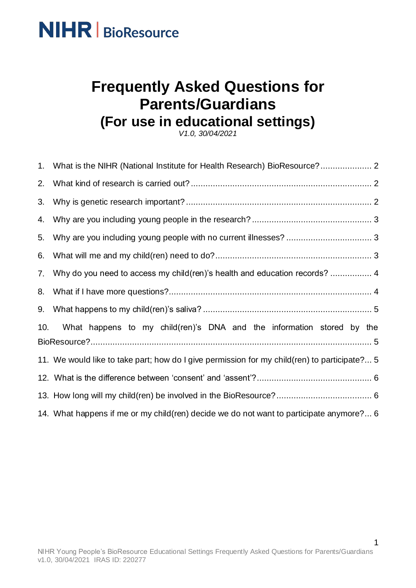

### **Frequently Asked Questions for Parents/Guardians (For use in educational settings)**

*V1.0, 30/04/2021*

| $1_{\cdot}$ |                                                                                              |
|-------------|----------------------------------------------------------------------------------------------|
| 2.          |                                                                                              |
| 3.          |                                                                                              |
| 4.          |                                                                                              |
| 5.          |                                                                                              |
| 6.          |                                                                                              |
| 7.          | Why do you need to access my child(ren)'s health and education records?  4                   |
| 8.          |                                                                                              |
| 9.          |                                                                                              |
| 10.         | What happens to my child(ren)'s DNA and the information stored by the                        |
|             |                                                                                              |
|             | 11. We would like to take part; how do I give permission for my child(ren) to participate? 5 |
|             |                                                                                              |
|             |                                                                                              |
|             | 14. What happens if me or my child(ren) decide we do not want to participate anymore? 6      |

1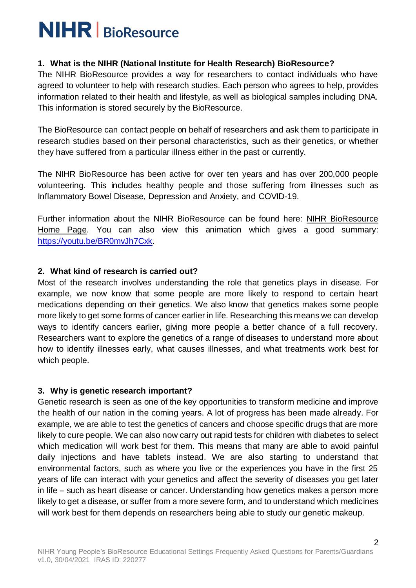#### <span id="page-1-0"></span>**1. What is the NIHR (National Institute for Health Research) BioResource?**

The NIHR BioResource provides a way for researchers to contact individuals who have agreed to volunteer to help with research studies. Each person who agrees to help, provides information related to their health and lifestyle, as well as biological samples including DNA. This information is stored securely by the BioResource.

The BioResource can contact people on behalf of researchers and ask them to participate in research studies based on their personal characteristics, such as their genetics, or whether they have suffered from a particular illness either in the past or currently.

The NIHR BioResource has been active for over ten years and has over 200,000 people volunteering. This includes healthy people and those suffering from illnesses such as Inflammatory Bowel Disease, Depression and Anxiety, and COVID-19.

Further information about the NIHR BioResource can be found here: [NIHR BioResource](https://bioresource.nihr.ac.uk/)  [Home Page.](https://bioresource.nihr.ac.uk/) You can also view this animation which gives a good summary: [https://youtu.be/BR0mvJh7Cxk.](https://youtu.be/BR0mvJh7Cxk)

#### <span id="page-1-1"></span>**2. What kind of research is carried out?**

Most of the research involves understanding the role that genetics plays in disease. For example, we now know that some people are more likely to respond to certain heart medications depending on their genetics. We also know that genetics makes some people more likely to get some forms of cancer earlier in life. Researching this means we can develop ways to identify cancers earlier, giving more people a better chance of a full recovery. Researchers want to explore the genetics of a range of diseases to understand more about how to identify illnesses early, what causes illnesses, and what treatments work best for which people.

#### <span id="page-1-2"></span>**3. Why is genetic research important?**

Genetic research is seen as one of the key opportunities to transform medicine and improve the health of our nation in the coming years. A lot of progress has been made already. For example, we are able to test the genetics of cancers and choose specific drugs that are more likely to cure people. We can also now carry out rapid tests for children with diabetes to select which medication will work best for them. This means that many are able to avoid painful daily injections and have tablets instead. We are also starting to understand that environmental factors, such as where you live or the experiences you have in the first 25 years of life can interact with your genetics and affect the severity of diseases you get later in life – such as heart disease or cancer. Understanding how genetics makes a person more likely to get a disease, or suffer from a more severe form, and to understand which medicines will work best for them depends on researchers being able to study our genetic makeup.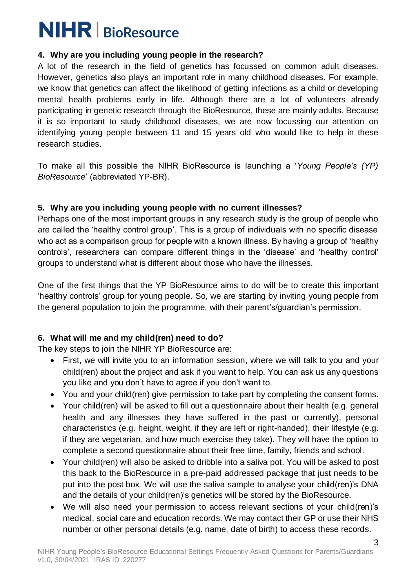#### <span id="page-2-0"></span>**4. Why are you including young people in the research?**

A lot of the research in the field of genetics has focussed on common adult diseases. However, genetics also plays an important role in many childhood diseases. For example, we know that genetics can affect the likelihood of getting infections as a child or developing mental health problems early in life. Although there are a lot of volunteers already participating in genetic research through the BioResource, these are mainly adults. Because it is so important to study childhood diseases, we are now focussing our attention on identifying young people between 11 and 15 years old who would like to help in these research studies.

To make all this possible the NIHR BioResource is launching a '*Young People's (YP) BioResource*' (abbreviated YP-BR).

#### <span id="page-2-1"></span>**5. Why are you including young people with no current illnesses?**

Perhaps one of the most important groups in any research study is the group of people who are called the 'healthy control group'. This is a group of individuals with no specific disease who act as a comparison group for people with a known illness. By having a group of 'healthy controls', researchers can compare different things in the 'disease' and 'healthy control' groups to understand what is different about those who have the illnesses.

One of the first things that the YP BioResource aims to do will be to create this important 'healthy controls' group for young people. So, we are starting by inviting young people from the general population to join the programme, with their parent's/guardian's permission.

#### <span id="page-2-2"></span>**6. What will me and my child(ren) need to do?**

The key steps to join the NIHR YP BioResource are:

- First, we will invite you to an information session, where we will talk to you and your child(ren) about the project and ask if you want to help. You can ask us any questions you like and you don't have to agree if you don't want to.
- You and your child(ren) give permission to take part by completing the consent forms.
- Your child(ren) will be asked to fill out a questionnaire about their health (e.g. general health and any illnesses they have suffered in the past or currently), personal characteristics (e.g. height, weight, if they are left or right-handed), their lifestyle (e.g. if they are vegetarian, and how much exercise they take). They will have the option to complete a second questionnaire about their free time, family, friends and school.
- Your child(ren) will also be asked to dribble into a saliva pot. You will be asked to post this back to the BioResource in a pre-paid addressed package that just needs to be put into the post box. We will use the saliva sample to analyse your child(ren)'s DNA and the details of your child(ren)'s genetics will be stored by the BioResource.
- We will also need your permission to access relevant sections of your child(ren)'s medical, social care and education records. We may contact their GP or use their NHS number or other personal details (e.g. name, date of birth) to access these records.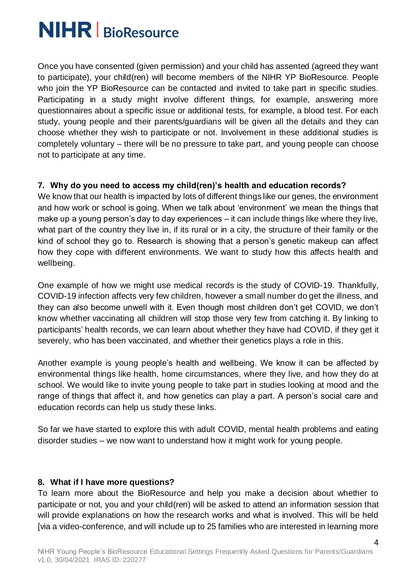Once you have consented (given permission) and your child has assented (agreed they want to participate), your child(ren) will become members of the NIHR YP BioResource. People who join the YP BioResource can be contacted and invited to take part in specific studies. Participating in a study might involve different things, for example, answering more questionnaires about a specific issue or additional tests, for example, a blood test. For each study, young people and their parents/guardians will be given all the details and they can choose whether they wish to participate or not. Involvement in these additional studies is completely voluntary – there will be no pressure to take part, and young people can choose not to participate at any time.

#### <span id="page-3-0"></span>**7. Why do you need to access my child(ren)'s health and education records?**

We know that our health is impacted by lots of different things like our genes, the environment and how work or school is going. When we talk about 'environment' we mean the things that make up a young person's day to day experiences – it can include things like where they live, what part of the country they live in, if its rural or in a city, the structure of their family or the kind of school they go to. Research is showing that a person's genetic makeup can affect how they cope with different environments. We want to study how this affects health and wellbeing.

One example of how we might use medical records is the study of COVID-19. Thankfully, COVID-19 infection affects very few children, however a small number do get the illness, and they can also become unwell with it. Even though most children don't get COVID, we don't know whether vaccinating all children will stop those very few from catching it. By linking to participants' health records, we can learn about whether they have had COVID, if they get it severely, who has been vaccinated, and whether their genetics plays a role in this.

Another example is young people's health and wellbeing. We know it can be affected by environmental things like health, home circumstances, where they live, and how they do at school. We would like to invite young people to take part in studies looking at mood and the range of things that affect it, and how genetics can play a part. A person's social care and education records can help us study these links.

So far we have started to explore this with adult COVID, mental health problems and eating disorder studies – we now want to understand how it might work for young people.

#### <span id="page-3-1"></span>**8. What if I have more questions?**

To learn more about the BioResource and help you make a decision about whether to participate or not, you and your child(ren) will be asked to attend an information session that will provide explanations on how the research works and what is involved. This will be held [via a video-conference, and will include up to 25 families who are interested in learning more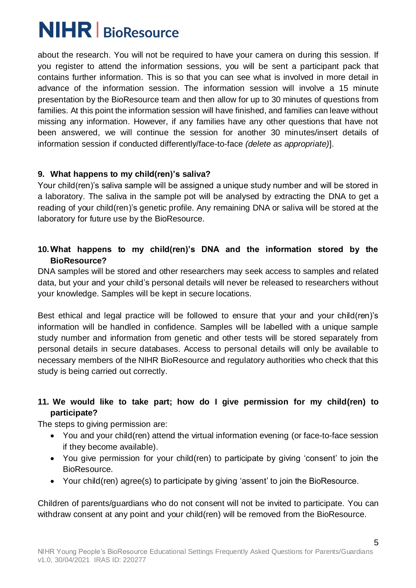about the research. You will not be required to have your camera on during this session. If you register to attend the information sessions, you will be sent a participant pack that contains further information. This is so that you can see what is involved in more detail in advance of the information session. The information session will involve a 15 minute presentation by the BioResource team and then allow for up to 30 minutes of questions from families. At this point the information session will have finished, and families can leave without missing any information. However, if any families have any other questions that have not been answered, we will continue the session for another 30 minutes/insert details of information session if conducted differently/face-to-face *(delete as appropriate)*].

### <span id="page-4-0"></span>**9. What happens to my child(ren)'s saliva?**

Your child(ren)'s saliva sample will be assigned a unique study number and will be stored in a laboratory. The saliva in the sample pot will be analysed by extracting the DNA to get a reading of your child(ren)'s genetic profile. Any remaining DNA or saliva will be stored at the laboratory for future use by the BioResource.

### <span id="page-4-1"></span>**10.What happens to my child(ren)'s DNA and the information stored by the BioResource?**

DNA samples will be stored and other researchers may seek access to samples and related data, but your and your child's personal details will never be released to researchers without your knowledge. Samples will be kept in secure locations.

Best ethical and legal practice will be followed to ensure that your and your child(ren)'s information will be handled in confidence. Samples will be labelled with a unique sample study number and information from genetic and other tests will be stored separately from personal details in secure databases. Access to personal details will only be available to necessary members of the NIHR BioResource and regulatory authorities who check that this study is being carried out correctly.

### <span id="page-4-2"></span>**11. We would like to take part; how do I give permission for my child(ren) to participate?**

The steps to giving permission are:

- You and your child(ren) attend the virtual information evening (or face-to-face session if they become available).
- You give permission for your child(ren) to participate by giving 'consent' to join the BioResource.
- Your child(ren) agree(s) to participate by giving 'assent' to join the BioResource.

Children of parents/guardians who do not consent will not be invited to participate. You can withdraw consent at any point and your child(ren) will be removed from the BioResource.